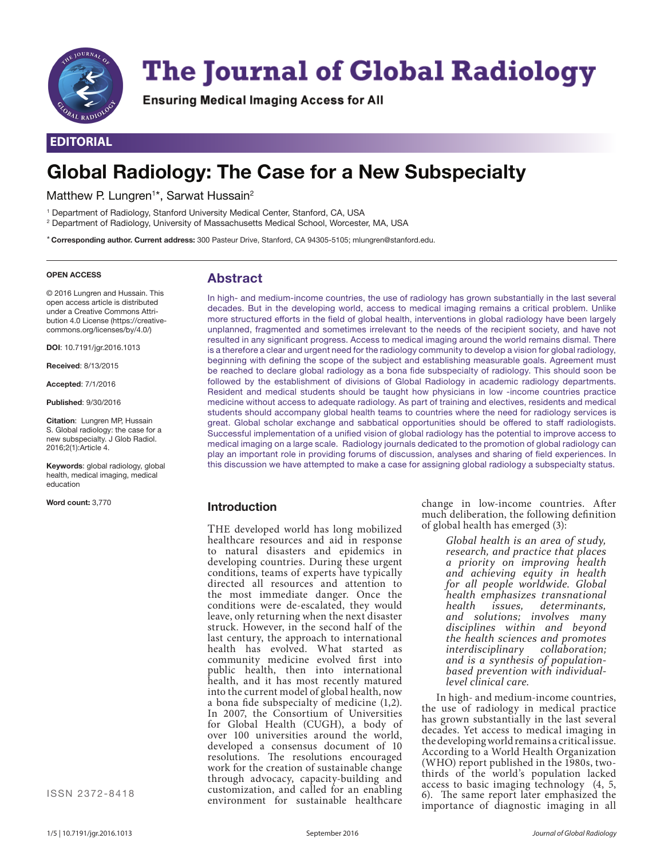

# **The Journal of Global Radiology**

Ensuring Medical Imaging Access for All

# **EDITORIAL**

# **Global Radiology: The Case for a New Subspecialty**

Matthew P. Lungren<sup>1\*</sup>, Sarwat Hussain<sup>2</sup>

1 Department of Radiology, Stanford University Medical Center, Stanford, CA, USA

2 Department of Radiology, University of Massachusetts Medical School, Worcester, MA, USA

\* **Corresponding author. Current address:** 300 Pasteur Drive, Stanford, CA 94305-5105; mlungren@stanford.edu.

#### **OPEN ACCESS**

# **Abstract**

© 2016 Lungren and Hussain. This open access article is distributed under a Creative Commons Attribution 4.0 License (https://creativecommons.org/licenses/by/4.0/)

**DOI**: 10.7191/jgr.2016.1013

**Received**: 8/13/2015

**Accepted**: 7/1/2016

**Published**: 9/30/2016

**Citation**: Lungren MP, Hussain S. Global radiology: the case for a new subspecialty. J Glob Radiol. 2016;2(1):Article 4.

**Keywords**: global radiology, global health, medical imaging, medical education

**Word count:** 3,770

ISSN 2372-8418

In high- and medium-income countries, the use of radiology has grown substantially in the last several decades. But in the developing world, access to medical imaging remains a critical problem. Unlike more structured efforts in the field of global health, interventions in global radiology have been largely unplanned, fragmented and sometimes irrelevant to the needs of the recipient society, and have not resulted in any significant progress. Access to medical imaging around the world remains dismal. There is a therefore a clear and urgent need for the radiology community to develop a vision for global radiology, beginning with defining the scope of the subject and establishing measurable goals. Agreement must be reached to declare global radiology as a bona fide subspecialty of radiology. This should soon be followed by the establishment of divisions of Global Radiology in academic radiology departments. Resident and medical students should be taught how physicians in low -income countries practice medicine without access to adequate radiology. As part of training and electives, residents and medical students should accompany global health teams to countries where the need for radiology services is great. Global scholar exchange and sabbatical opportunities should be offered to staff radiologists. Successful implementation of a unified vision of global radiology has the potential to improve access to medical imaging on a large scale. Radiology journals dedicated to the promotion of global radiology can play an important role in providing forums of discussion, analyses and sharing of field experiences. In this discussion we have attempted to make a case for assigning global radiology a subspecialty status.

#### **Introduction**

THE developed world has long mobilized healthcare resources and aid in response to natural disasters and epidemics in developing countries. During these urgent conditions, teams of experts have typically directed all resources and attention to the most immediate danger. Once the conditions were de-escalated, they would leave, only returning when the next disaster struck. However, in the second half of the last century, the approach to international health has evolved. What started as community medicine evolved first into public health, then into international health, and it has most recently matured into the current model of global health, now a bona fide subspecialty of medicine (1,2). In 2007, the Consortium of Universities for Global Health (CUGH), a body of over 100 universities around the world, developed a consensus document of 10 resolutions. The resolutions encouraged work for the creation of sustainable change through advocacy, capacity-building and customization, and called for an enabling environment for sustainable healthcare

change in low-income countries. After much deliberation, the following definition of global health has emerged (3):

> *Global health is an area of study, research, and practice that places a priority on improving health and achieving equity in health for all people worldwide. Global health emphasizes transnational health issues, determinants, and solutions; involves many disciplines within and beyond the health sciences and promotes interdisciplinary collaboration; and is a synthesis of populationbased prevention with individuallevel clinical care.*

In high- and medium-income countries, the use of radiology in medical practice has grown substantially in the last several decades. Yet access to medical imaging in the developing world remains a critical issue. According to a World Health Organization (WHO) report published in the 1980s, twothirds of the world's population lacked access to basic imaging technology (4, 5, 6). The same report later emphasized the importance of diagnostic imaging in all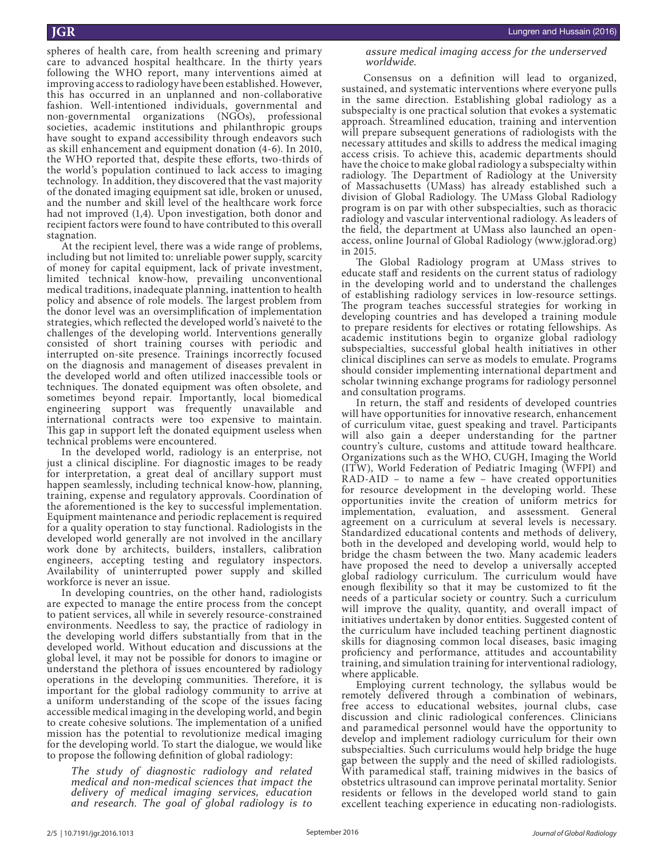spheres of health care, from health screening and primary care to advanced hospital healthcare. In the thirty years following the WHO report, many interventions aimed at improving access to radiology have been established. However, this has occurred in an unplanned and non-collaborative fashion. Well-intentioned individuals, governmental and non-governmental organizations (NGOs), professional societies, academic institutions and philanthropic groups have sought to expand accessibility through endeavors such as skill enhancement and equipment donation (4-6). In 2010, the WHO reported that, despite these efforts, two-thirds of the world's population continued to lack access to imaging technology. In addition, they discovered that the vast majority of the donated imaging equipment sat idle, broken or unused, and the number and skill level of the healthcare work force had not improved (1,4). Upon investigation, both donor and recipient factors were found to have contributed to this overall stagnation.

At the recipient level, there was a wide range of problems, including but not limited to: unreliable power supply, scarcity of money for capital equipment, lack of private investment, limited technical know-how, prevailing unconventional medical traditions, inadequate planning, inattention to health policy and absence of role models. The largest problem from the donor level was an oversimplification of implementation strategies, which reflected the developed world's naiveté to the challenges of the developing world. Interventions generally consisted of short training courses with periodic and interrupted on-site presence. Trainings incorrectly focused on the diagnosis and management of diseases prevalent in the developed world and often utilized inaccessible tools or techniques. The donated equipment was often obsolete, and sometimes beyond repair. Importantly, local biomedical engineering support was frequently unavailable and international contracts were too expensive to maintain. This gap in support left the donated equipment useless when technical problems were encountered.

In the developed world, radiology is an enterprise, not just a clinical discipline. For diagnostic images to be ready for interpretation, a great deal of ancillary support must happen seamlessly, including technical know-how, planning, training, expense and regulatory approvals. Coordination of the aforementioned is the key to successful implementation. Equipment maintenance and periodic replacement is required for a quality operation to stay functional. Radiologists in the developed world generally are not involved in the ancillary work done by architects, builders, installers, calibration engineers, accepting testing and regulatory inspectors. Availability of uninterrupted power supply and skilled workforce is never an issue.

In developing countries, on the other hand, radiologists are expected to manage the entire process from the concept to patient services, all while in severely resource-constrained environments. Needless to say, the practice of radiology in the developing world differs substantially from that in the developed world. Without education and discussions at the global level, it may not be possible for donors to imagine or understand the plethora of issues encountered by radiology operations in the developing communities. Therefore, it is important for the global radiology community to arrive at a uniform understanding of the scope of the issues facing accessible medical imaging in the developing world, and begin to create cohesive solutions. The implementation of a unified mission has the potential to revolutionize medical imaging for the developing world. To start the dialogue, we would like to propose the following definition of global radiology:

*The study of diagnostic radiology and related medical and non-medical sciences that impact the delivery of medical imaging services, education and research. The goal of global radiology is to*  *assure medical imaging access for the underserved worldwide.*

 Consensus on a definition will lead to organized, sustained, and systematic interventions where everyone pulls in the same direction. Establishing global radiology as a subspecialty is one practical solution that evokes a systematic approach. Streamlined education, training and intervention will prepare subsequent generations of radiologists with the necessary attitudes and skills to address the medical imaging access crisis. To achieve this, academic departments should have the choice to make global radiology a subspecialty within radiology. The Department of Radiology at the University of Massachusetts (UMass) has already established such a division of Global Radiology. The UMass Global Radiology program is on par with other subspecialties, such as thoracic radiology and vascular interventional radiology. As leaders of the field, the department at UMass also launched an openaccess, online Journal of Global Radiology (www.jglorad.org) in 2015.

The Global Radiology program at UMass strives to educate staff and residents on the current status of radiology in the developing world and to understand the challenges of establishing radiology services in low-resource settings. The program teaches successful strategies for working in developing countries and has developed a training module to prepare residents for electives or rotating fellowships. As academic institutions begin to organize global radiology subspecialties, successful global health initiatives in other clinical disciplines can serve as models to emulate. Programs should consider implementing international department and scholar twinning exchange programs for radiology personnel and consultation programs.

In return, the staff and residents of developed countries will have opportunities for innovative research, enhancement of curriculum vitae, guest speaking and travel. Participants will also gain a deeper understanding for the partner country's culture, customs and attitude toward healthcare. Organizations such as the WHO, CUGH, Imaging the World (ITW), World Federation of Pediatric Imaging (WFPI) and RAD-AID – to name a few – have created opportunities for resource development in the developing world. These opportunities invite the creation of uniform metrics for implementation, evaluation, and assessment. General agreement on a curriculum at several levels is necessary. Standardized educational contents and methods of delivery, both in the developed and developing world, would help to bridge the chasm between the two. Many academic leaders have proposed the need to develop a universally accepted global radiology curriculum. The curriculum would have enough flexibility so that it may be customized to fit the needs of a particular society or country. Such a curriculum will improve the quality, quantity, and overall impact of initiatives undertaken by donor entities. Suggested content of the curriculum have included teaching pertinent diagnostic skills for diagnosing common local diseases, basic imaging proficiency and performance, attitudes and accountability training, and simulation training for interventional radiology, where applicable.

Employing current technology, the syllabus would be remotely delivered through a combination of webinars, free access to educational websites, journal clubs, case discussion and clinic radiological conferences. Clinicians and paramedical personnel would have the opportunity to develop and implement radiology curriculum for their own subspecialties. Such curriculums would help bridge the huge gap between the supply and the need of skilled radiologists. With paramedical staff, training midwives in the basics of obstetrics ultrasound can improve perinatal mortality. Senior residents or fellows in the developed world stand to gain excellent teaching experience in educating non-radiologists.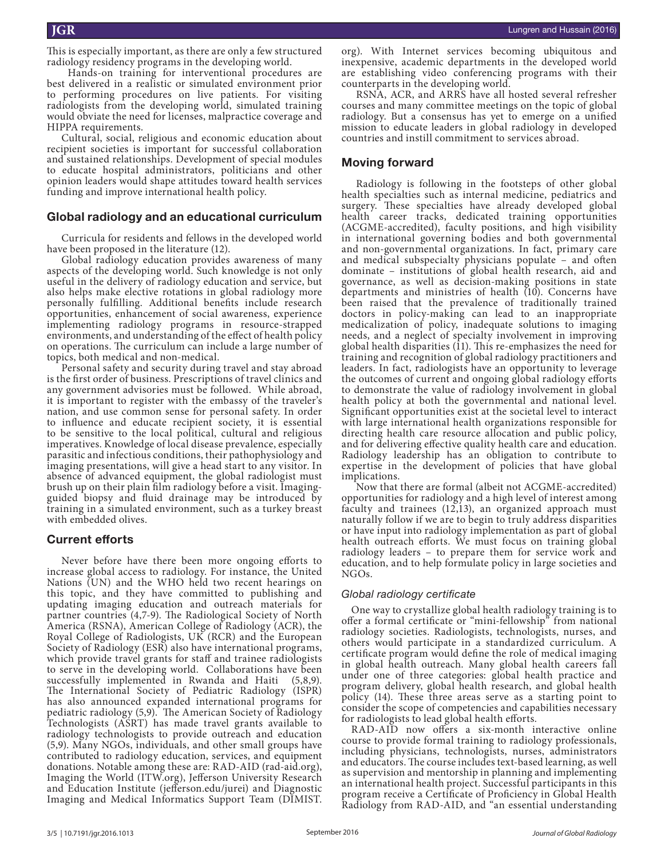This is especially important, as there are only a few structured radiology residency programs in the developing world.

 Hands-on training for interventional procedures are best delivered in a realistic or simulated environment prior to performing procedures on live patients. For visiting radiologists from the developing world, simulated training would obviate the need for licenses, malpractice coverage and HIPPA requirements.

Cultural, social, religious and economic education about recipient societies is important for successful collaboration and sustained relationships. Development of special modules to educate hospital administrators, politicians and other opinion leaders would shape attitudes toward health services funding and improve international health policy.

#### **Global radiology and an educational curriculum**

Curricula for residents and fellows in the developed world have been proposed in the literature (12).

Global radiology education provides awareness of many aspects of the developing world. Such knowledge is not only useful in the delivery of radiology education and service, but also helps make elective rotations in global radiology more personally fulfilling. Additional benefits include research opportunities, enhancement of social awareness, experience implementing radiology programs in resource-strapped environments, and understanding of the effect of health policy on operations. The curriculum can include a large number of topics, both medical and non-medical.

Personal safety and security during travel and stay abroad is the first order of business. Prescriptions of travel clinics and any government advisories must be followed. While abroad, it is important to register with the embassy of the traveler's nation, and use common sense for personal safety. In order to influence and educate recipient society, it is essential to be sensitive to the local political, cultural and religious imperatives. Knowledge of local disease prevalence, especially parasitic and infectious conditions, their pathophysiology and imaging presentations, will give a head start to any visitor. In absence of advanced equipment, the global radiologist must brush up on their plain film radiology before a visit. Imagingguided biopsy and fluid drainage may be introduced by training in a simulated environment, such as a turkey breast with embedded olives.

#### **Current efforts**

Never before have there been more ongoing efforts to increase global access to radiology. For instance, the United Nations (UN) and the WHO held two recent hearings on this topic, and they have committed to publishing and updating imaging education and outreach materials for partner countries (4,7-9). The Radiological Society of North America (RSNA), American College of Radiology (ACR), the Royal College of Radiologists, UK (RCR) and the European Society of Radiology (ESR) also have international programs, which provide travel grants for staff and trainee radiologists to serve in the developing world. Collaborations have been successfully implemented in Rwanda and Haiti (5,8,9). The International Society of Pediatric Radiology (ISPR) has also announced expanded international programs for pediatric radiology (5,9). The American Society of Radiology Technologists (ASRT) has made travel grants available to radiology technologists to provide outreach and education (5,9). Many NGOs, individuals, and other small groups have contributed to radiology education, services, and equipment donations. Notable among these are: RAD-AID (rad-aid.org), Imaging the World (ITW.org), Jefferson University Research and Education Institute (jefferson.edu/jurei) and Diagnostic Imaging and Medical Informatics Support Team (DIMIST.

org). With Internet services becoming ubiquitous and inexpensive, academic departments in the developed world are establishing video conferencing programs with their counterparts in the developing world.

RSNA, ACR, and ARRS have all hosted several refresher courses and many committee meetings on the topic of global radiology. But a consensus has yet to emerge on a unified mission to educate leaders in global radiology in developed countries and instill commitment to services abroad.

#### **Moving forward**

Radiology is following in the footsteps of other global health specialties such as internal medicine, pediatrics and surgery. These specialties have already developed global health career tracks, dedicated training opportunities (ACGME-accredited), faculty positions, and high visibility in international governing bodies and both governmental and non-governmental organizations. In fact, primary care and medical subspecialty physicians populate – and often dominate – institutions of global health research, aid and governance, as well as decision-making positions in state departments and ministries of health (10). Concerns have been raised that the prevalence of traditionally trained doctors in policy-making can lead to an inappropriate medicalization of policy, inadequate solutions to imaging needs, and a neglect of specialty involvement in improving global health disparities  $(11)$ . This re-emphasizes the need for training and recognition of global radiology practitioners and leaders. In fact, radiologists have an opportunity to leverage the outcomes of current and ongoing global radiology efforts to demonstrate the value of radiology involvement in global health policy at both the governmental and national level. Significant opportunities exist at the societal level to interact with large international health organizations responsible for directing health care resource allocation and public policy, and for delivering effective quality health care and education. Radiology leadership has an obligation to contribute to expertise in the development of policies that have global implications.

Now that there are formal (albeit not ACGME-accredited) opportunities for radiology and a high level of interest among faculty and trainees (12,13), an organized approach must naturally follow if we are to begin to truly address disparities or have input into radiology implementation as part of global health outreach efforts. We must focus on training global radiology leaders – to prepare them for service work and education, and to help formulate policy in large societies and NGOs.

#### *Global radiology certificate*

One way to crystallize global health radiology training is to offer a formal certificate or "mini-fellowship" from national radiology societies. Radiologists, technologists, nurses, and others would participate in a standardized curriculum. A certificate program would define the role of medical imaging in global health outreach. Many global health careers fall under one of three categories: global health practice and program delivery, global health research, and global health policy (14). These three areas serve as a starting point to consider the scope of competencies and capabilities necessary for radiologists to lead global health efforts.

RAD-AID now offers a six-month interactive online course to provide formal training to radiology professionals, including physicians, technologists, nurses, administrators and educators. The course includes text-based learning, as well as supervision and mentorship in planning and implementing an international health project. Successful participants in this program receive a Certificate of Proficiency in Global Health Radiology from RAD-AID, and "an essential understanding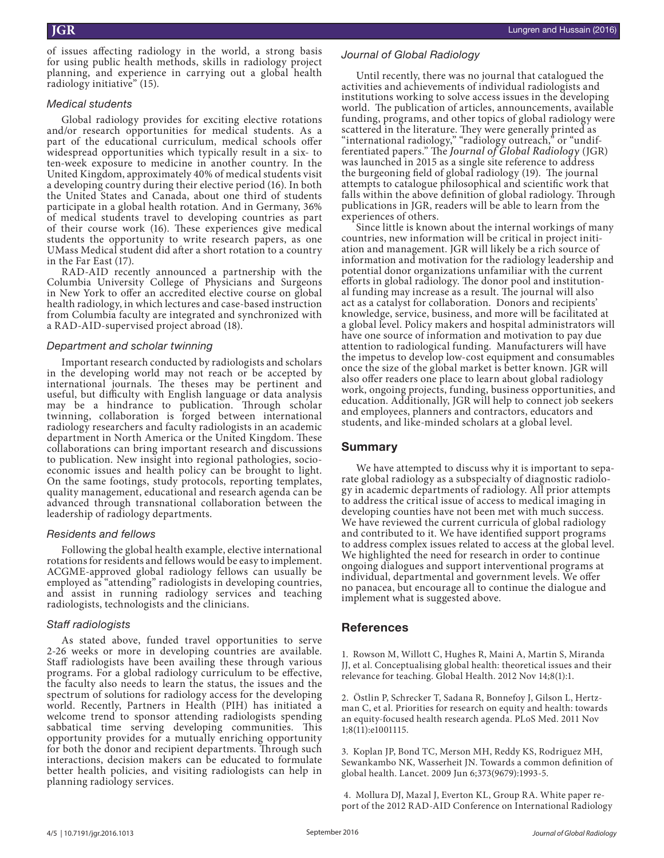of issues affecting radiology in the world, a strong basis for using public health methods, skills in radiology project planning, and experience in carrying out a global health radiology initiative" (15).

#### *Medical students*

Global radiology provides for exciting elective rotations and/or research opportunities for medical students. As a part of the educational curriculum, medical schools offer widespread opportunities which typically result in a six- to ten-week exposure to medicine in another country. In the United Kingdom, approximately 40% of medical students visit a developing country during their elective period (16). In both the United States and Canada, about one third of students participate in a global health rotation. And in Germany, 36% of medical students travel to developing countries as part of their course work (16). These experiences give medical students the opportunity to write research papers, as one UMass Medical student did after a short rotation to a country in the Far East (17).

RAD-AID recently announced a partnership with the Columbia University College of Physicians and Surgeons in New York to offer an accredited elective course on global health radiology, in which lectures and case-based instruction from Columbia faculty are integrated and synchronized with a RAD-AID-supervised project abroad (18).

#### *Department and scholar twinning*

Important research conducted by radiologists and scholars in the developing world may not reach or be accepted by international journals. The theses may be pertinent and useful, but difficulty with English language or data analysis may be a hindrance to publication. Through scholar twinning, collaboration is forged between international radiology researchers and faculty radiologists in an academic department in North America or the United Kingdom. These collaborations can bring important research and discussions to publication. New insight into regional pathologies, socioeconomic issues and health policy can be brought to light. On the same footings, study protocols, reporting templates, quality management, educational and research agenda can be advanced through transnational collaboration between the leadership of radiology departments.

#### *Residents and fellows*

Following the global health example, elective international rotations for residents and fellows would be easy to implement. ACGME-approved global radiology fellows can usually be employed as "attending" radiologists in developing countries, and assist in running radiology services and teaching radiologists, technologists and the clinicians.

#### *Staff radiologists*

As stated above, funded travel opportunities to serve 2-26 weeks or more in developing countries are available. Staff radiologists have been availing these through various programs. For a global radiology curriculum to be effective, the faculty also needs to learn the status, the issues and the spectrum of solutions for radiology access for the developing world. Recently, Partners in Health (PIH) has initiated a welcome trend to sponsor attending radiologists spending sabbatical time serving developing communities. This opportunity provides for a mutually enriching opportunity for both the donor and recipient departments. Through such interactions, decision makers can be educated to formulate better health policies, and visiting radiologists can help in planning radiology services.

### *Journal of Global Radiology*

Until recently, there was no journal that catalogued the activities and achievements of individual radiologists and institutions working to solve access issues in the developing world. The publication of articles, announcements, available funding, programs, and other topics of global radiology were scattered in the literature. They were generally printed as "international radiology," "radiology outreach," or "undifferentiated papers." The *Journal of Global Radiology* (JGR) was launched in 2015 as a single site reference to address the burgeoning field of global radiology (19). The journal attempts to catalogue philosophical and scientific work that falls within the above definition of global radiology. Through publications in JGR, readers will be able to learn from the experiences of others.

Since little is known about the internal workings of many countries, new information will be critical in project initiation and management. JGR will likely be a rich source of information and motivation for the radiology leadership and potential donor organizations unfamiliar with the current efforts in global radiology. The donor pool and institutional funding may increase as a result. The journal will also act as a catalyst for collaboration. Donors and recipients' knowledge, service, business, and more will be facilitated at a global level. Policy makers and hospital administrators will have one source of information and motivation to pay due attention to radiological funding. Manufacturers will have the impetus to develop low-cost equipment and consumables once the size of the global market is better known. JGR will also offer readers one place to learn about global radiology work, ongoing projects, funding, business opportunities, and education. Additionally, JGR will help to connect job seekers and employees, planners and contractors, educators and students, and like-minded scholars at a global level.

# **Summary**

We have attempted to discuss why it is important to separate global radiology as a subspecialty of diagnostic radiology in academic departments of radiology. All prior attempts to address the critical issue of access to medical imaging in developing counties have not been met with much success. We have reviewed the current curricula of global radiology and contributed to it. We have identified support programs to address complex issues related to access at the global level. We highlighted the need for research in order to continue ongoing dialogues and support interventional programs at individual, departmental and government levels. We offer no panacea, but encourage all to continue the dialogue and implement what is suggested above.

# **References**

1. Rowson M, Willott C, Hughes R, Maini A, Martin S, Miranda JJ, et al. Conceptualising global health: theoretical issues and their relevance for teaching. Global Health. 2012 Nov 14;8(1):1.

2. Östlin P, Schrecker T, Sadana R, Bonnefoy J, Gilson L, Hertzman C, et al. Priorities for research on equity and health: towards an equity-focused health research agenda. PLoS Med. 2011 Nov 1;8(11):e1001115.

3. Koplan JP, Bond TC, Merson MH, Reddy KS, Rodriguez MH, Sewankambo NK, Wasserheit JN. Towards a common definition of global health. Lancet. 2009 Jun 6;373(9679):1993-5.

 4. Mollura DJ, Mazal J, Everton KL, Group RA. White paper report of the 2012 RAD-AID Conference on International Radiology